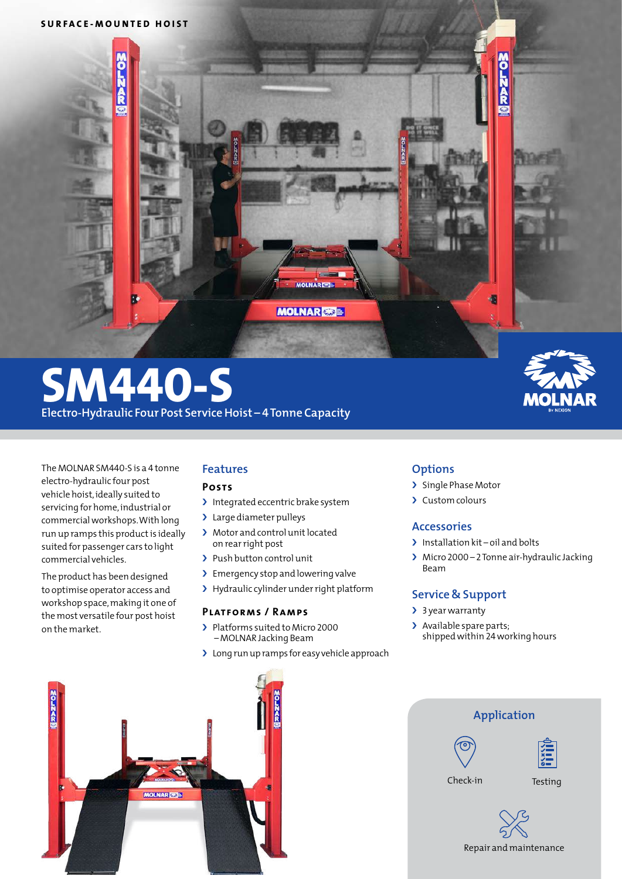

# **SM440-S**

**Electro-Hydraulic Four Post Service Hoist – 4 Tonne Capacity**

The MOLNAR SM440-S is a 4 tonne electro-hydraulic four post vehicle hoist,ideally suited to servicing for home,industrial or commercial workshops. With long run up ramps this product is ideally suited for passenger cars to light commercial vehicles.

The product has been designed to optimise operator access and workshop space,making it one of the most versatile four post hoist on the market.

# **Features**

### **Posts**

- > Integrated eccentric brake system
- > Large diameter pulleys
- > Motor and control unit located on rearright post
- > Push button control unit
- > Emergency stop and lowering valve
- > Hydraulic cylinder under right platform

### **Platforms / Ramps**

- > Platforms suited to Micro 2000 – MOLNAR Jacking Beam
- > Long run up ramps for easy vehicle approach

# **Options**

- > Single Phase Motor
- › Custom colours

## **Accessories**

- > Installation kit oil and bolts
- › Micro 2000 2Tonne air-hydraulic Jacking Beam

## **Service & Support**

- > 3 year warranty
- > Available spare parts; shippedwithin 24working hours



| Application |         |  |
|-------------|---------|--|
|             | $x =$   |  |
| Check-in    | Testing |  |
|             |         |  |

Repair and maintenance